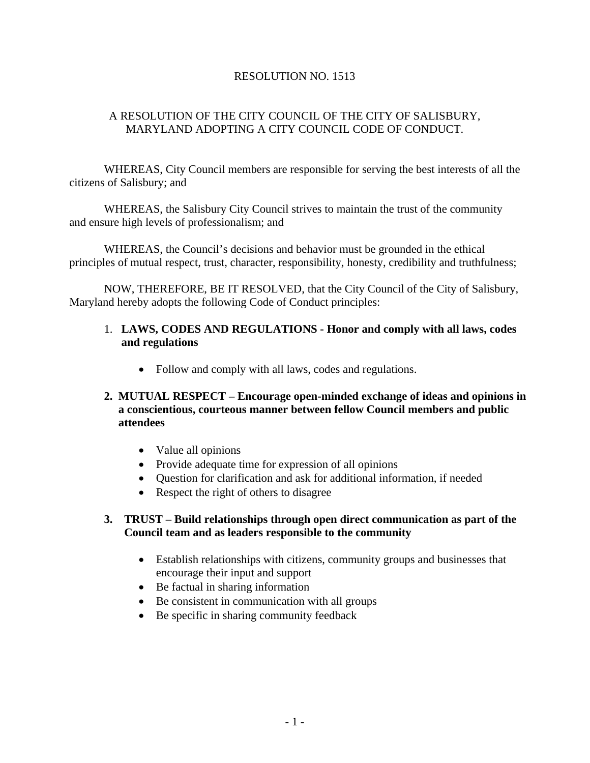## RESOLUTION NO. 1513

## A RESOLUTION OF THE CITY COUNCIL OF THE CITY OF SALISBURY, MARYLAND ADOPTING A CITY COUNCIL CODE OF CONDUCT.

 WHEREAS, City Council members are responsible for serving the best interests of all the citizens of Salisbury; and

 WHEREAS, the Salisbury City Council strives to maintain the trust of the community and ensure high levels of professionalism; and

 WHEREAS, the Council's decisions and behavior must be grounded in the ethical principles of mutual respect, trust, character, responsibility, honesty, credibility and truthfulness;

 NOW, THEREFORE, BE IT RESOLVED, that the City Council of the City of Salisbury, Maryland hereby adopts the following Code of Conduct principles:

## 1. **LAWS, CODES AND REGULATIONS - Honor and comply with all laws, codes and regulations**

• Follow and comply with all laws, codes and regulations.

#### **2. MUTUAL RESPECT – Encourage open-minded exchange of ideas and opinions in a conscientious, courteous manner between fellow Council members and public attendees**

- Value all opinions
- Provide adequate time for expression of all opinions
- Question for clarification and ask for additional information, if needed
- Respect the right of others to disagree

#### **3. TRUST – Build relationships through open direct communication as part of the Council team and as leaders responsible to the community**

- Establish relationships with citizens, community groups and businesses that encourage their input and support
- Be factual in sharing information
- Be consistent in communication with all groups
- Be specific in sharing community feedback